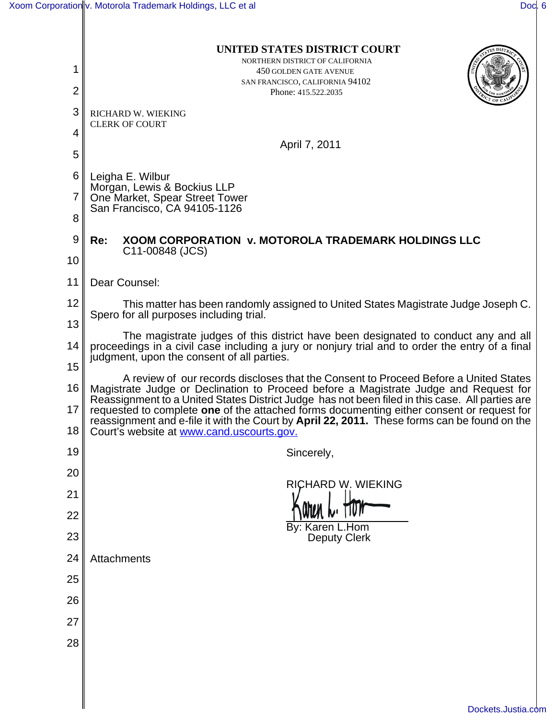|                     | UNITED STATES DISTRICT COURT                                                                                                                                                                                                                                                         |
|---------------------|--------------------------------------------------------------------------------------------------------------------------------------------------------------------------------------------------------------------------------------------------------------------------------------|
| 1<br>$\overline{2}$ | NORTHERN DISTRICT OF CALIFORNIA<br>450 GOLDEN GATE AVENUE<br>SAN FRANCISCO, CALIFORNIA 94102<br>Phone: 415.522.2035                                                                                                                                                                  |
| 3                   | RICHARD W. WIEKING                                                                                                                                                                                                                                                                   |
| 4                   | <b>CLERK OF COURT</b>                                                                                                                                                                                                                                                                |
| 5                   | April 7, 2011                                                                                                                                                                                                                                                                        |
| 6                   | Leigha E. Wilbur                                                                                                                                                                                                                                                                     |
| 7                   | Morgan, Lewis & Bockius LLP<br>One Market, Spear Street Tower                                                                                                                                                                                                                        |
| 8                   | San Francisco, CA 94105-1126                                                                                                                                                                                                                                                         |
| 9                   | <b>XOOM CORPORATION V. MOTOROLA TRADEMARK HOLDINGS LLC</b><br>Re:<br>C11-00848 (JCS)                                                                                                                                                                                                 |
| 10                  |                                                                                                                                                                                                                                                                                      |
| 11                  | Dear Counsel:                                                                                                                                                                                                                                                                        |
| 12                  | This matter has been randomly assigned to United States Magistrate Judge Joseph C.<br>Spero for all purposes including trial.                                                                                                                                                        |
| 13                  | The magistrate judges of this district have been designated to conduct any and all                                                                                                                                                                                                   |
| 14                  | proceedings in a civil case including a jury or nonjury trial and to order the entry of a final<br>judgment, upon the consent of all parties.                                                                                                                                        |
| 15                  | A review of our records discloses that the Consent to Proceed Before a United States                                                                                                                                                                                                 |
| 16<br>17            | Magistrate Judge or Declination to Proceed before a Magistrate Judge and Request for<br>Reassignment to a United States District Judge has not been filed in this case. All parties are<br>requested to complete one of the attached forms documenting either consent or request for |
| 18                  | reassignment and e-file it with the Court by April 22, 2011. These forms can be found on the<br>Court's website at www.cand.uscourts.gov.                                                                                                                                            |
| 19                  | Sincerely,                                                                                                                                                                                                                                                                           |
| 20                  | <b>RICHARD W. WIEKING</b>                                                                                                                                                                                                                                                            |
| 21                  |                                                                                                                                                                                                                                                                                      |
| 22                  | By: Karen L.Hom                                                                                                                                                                                                                                                                      |
| 23                  | <b>Deputy Clerk</b>                                                                                                                                                                                                                                                                  |
| 24                  | Attachments                                                                                                                                                                                                                                                                          |
| 25                  |                                                                                                                                                                                                                                                                                      |
| 26                  |                                                                                                                                                                                                                                                                                      |
| 27                  |                                                                                                                                                                                                                                                                                      |
| 28                  |                                                                                                                                                                                                                                                                                      |
|                     |                                                                                                                                                                                                                                                                                      |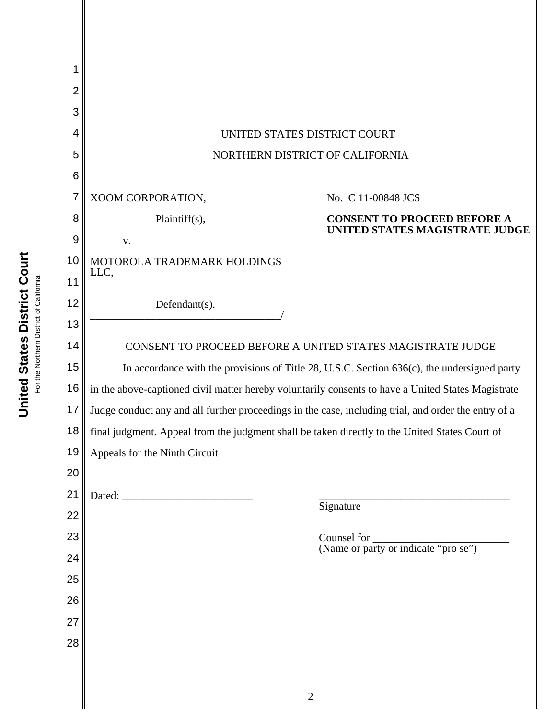

United States District Court **United States District Court** For the Northern District of California For the Northern District of California